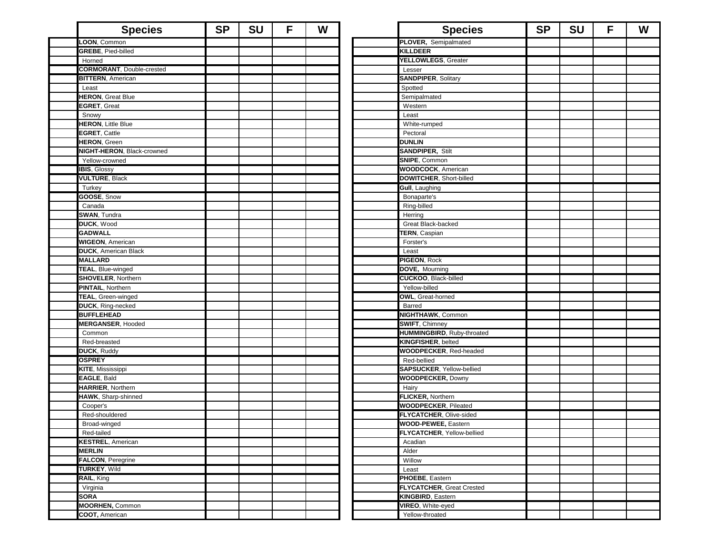| <b>Species</b>                   | <b>SP</b> | <b>SU</b> | F | W | <b>Species</b>                                        | <b>SP</b> | <b>SU</b> | F | W |
|----------------------------------|-----------|-----------|---|---|-------------------------------------------------------|-----------|-----------|---|---|
| LOON, Common                     |           |           |   |   | PLOVER, Semipalmated                                  |           |           |   |   |
| <b>GREBE, Pied-billed</b>        |           |           |   |   | <b>KILLDEER</b>                                       |           |           |   |   |
| Horned                           |           |           |   |   | YELLOWLEGS, Greater                                   |           |           |   |   |
| <b>CORMORANT, Double-crested</b> |           |           |   |   | Lesser                                                |           |           |   |   |
| <b>BITTERN, American</b>         |           |           |   |   | <b>SANDPIPER, Solitary</b>                            |           |           |   |   |
| Least                            |           |           |   |   | Spotted                                               |           |           |   |   |
| <b>HERON, Great Blue</b>         |           |           |   |   | Semipalmated                                          |           |           |   |   |
| EGRET, Great                     |           |           |   |   | Western                                               |           |           |   |   |
| Snowy                            |           |           |   |   | Least                                                 |           |           |   |   |
| <b>HERON, Little Blue</b>        |           |           |   |   | White-rumped                                          |           |           |   |   |
| <b>EGRET, Cattle</b>             |           |           |   |   | Pectoral                                              |           |           |   |   |
| <b>HERON, Green</b>              |           |           |   |   | <b>DUNLIN</b>                                         |           |           |   |   |
| NIGHT-HERON, Black-crowned       |           |           |   |   | <b>SANDPIPER, Stilt</b>                               |           |           |   |   |
| Yellow-crowned                   |           |           |   |   | SNIPE, Common                                         |           |           |   |   |
| IBIS, Glossy                     |           |           |   |   | <b>WOODCOCK, American</b>                             |           |           |   |   |
| <b>VULTURE, Black</b>            |           |           |   |   | DOWITCHER, Short-billed                               |           |           |   |   |
| Turkey                           |           |           |   |   | Gull, Laughing                                        |           |           |   |   |
| GOOSE, Snow                      |           |           |   |   | Bonaparte's                                           |           |           |   |   |
| Canada                           |           |           |   |   | Ring-billed                                           |           |           |   |   |
| <b>SWAN, Tundra</b>              |           |           |   |   | Herring                                               |           |           |   |   |
| DUCK, Wood                       |           |           |   |   | Great Black-backed                                    |           |           |   |   |
| <b>GADWALL</b>                   |           |           |   |   | TERN, Caspian                                         |           |           |   |   |
| <b>WIGEON, American</b>          |           |           |   |   | Forster's                                             |           |           |   |   |
| <b>DUCK, American Black</b>      |           |           |   |   | Least                                                 |           |           |   |   |
| <b>MALLARD</b>                   |           |           |   |   | PIGEON, Rock                                          |           |           |   |   |
| TEAL, Blue-winged                |           |           |   |   | DOVE, Mourning                                        |           |           |   |   |
| <b>SHOVELER, Northern</b>        |           |           |   |   | <b>CUCKOO, Black-billed</b>                           |           |           |   |   |
| <b>PINTAIL, Northern</b>         |           |           |   |   | Yellow-billed                                         |           |           |   |   |
| TEAL, Green-winged               |           |           |   |   | OWL, Great-horned                                     |           |           |   |   |
| DUCK, Ring-necked                |           |           |   |   | Barred                                                |           |           |   |   |
| <b>BUFFLEHEAD</b>                |           |           |   |   | <b>NIGHTHAWK, Common</b>                              |           |           |   |   |
| <b>MERGANSER, Hooded</b>         |           |           |   |   | <b>SWIFT, Chimney</b>                                 |           |           |   |   |
| Common                           |           |           |   |   | HUMMINGBIRD, Ruby-throated                            |           |           |   |   |
| Red-breasted                     |           |           |   |   | <b>KINGFISHER, belted</b>                             |           |           |   |   |
| <b>DUCK, Ruddy</b>               |           |           |   |   | <b>WOODPECKER, Red-headed</b>                         |           |           |   |   |
| <b>OSPREY</b>                    |           |           |   |   | Red-bellied                                           |           |           |   |   |
|                                  |           |           |   |   |                                                       |           |           |   |   |
| KITE, Mississippi<br>EAGLE, Bald |           |           |   |   | SAPSUCKER, Yellow-bellied<br><b>WOODPECKER, Downy</b> |           |           |   |   |
|                                  |           |           |   |   |                                                       |           |           |   |   |
| <b>HARRIER, Northern</b>         |           |           |   |   | Hairy                                                 |           |           |   |   |
| HAWK, Sharp-shinned              |           |           |   |   | FLICKER, Northern                                     |           |           |   |   |
| Cooper's                         |           |           |   |   | <b>WOODPECKER, Pileated</b>                           |           |           |   |   |
| Red-shouldered                   |           |           |   |   | FLYCATCHER, Olive-sided                               |           |           |   |   |
| Broad-winged                     |           |           |   |   | <b>WOOD-PEWEE, Eastern</b>                            |           |           |   |   |
| Red-tailed                       |           |           |   |   | FLYCATCHER, Yellow-bellied                            |           |           |   |   |
| <b>KESTREL, American</b>         |           |           |   |   | Acadian                                               |           |           |   |   |
| <b>MERLIN</b>                    |           |           |   |   | Alder                                                 |           |           |   |   |
| FALCON, Peregrine                |           |           |   |   | Willow                                                |           |           |   |   |
| <b>TURKEY, Wild</b>              |           |           |   |   | Least                                                 |           |           |   |   |
| RAIL, King                       |           |           |   |   | PHOEBE, Eastern                                       |           |           |   |   |
| Virginia                         |           |           |   |   | <b>FLYCATCHER, Great Crested</b>                      |           |           |   |   |
| <b>SORA</b>                      |           |           |   |   | <b>KINGBIRD, Eastern</b>                              |           |           |   |   |
| <b>MOORHEN, Common</b>           |           |           |   |   | <b>VIREO, White-eyed</b>                              |           |           |   |   |
| COOT, American                   |           |           |   |   | Yellow-throated                                       |           |           |   |   |